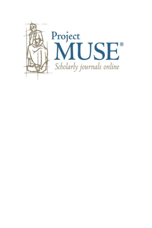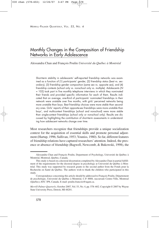# Monthly Changes in the Composition of Friendship Networks in Early Adolescence

Alessandra Chan and François Poulin *Université du Québec à Montréal*

Short-term stability in adolescents' self-reported friendship networks was examined as a function of (1) participants' gender, (2) friendship status (best vs. secondary), (3) friendship gender composition (same sex vs. opposite sex), and (4) friendship contexts (school only vs. nonschool only vs. multiple). Adolescents (N = 102) took part in five monthly telephone interviews in which they nominated their friends and provided specific information for each of them. Results indicated that on average, one-third of participants' nominated friendships in their network were unstable over five months, with girls' perceived networks being more unstable than boys. Best friendship choices were more stable than secondary ones. Girls' reports of their opposite-sex friendships were more unstable than boys', and multicontext friendships (school and nonschool) were more stable than single-context friendships (school only or nonschool only). Results are discussed by highlighting the contribution of short-term assessments in understanding how adolescent networks change over time.

Most researchers recognize that friendships provide a unique socialization context for the acquisition of essential skills and promote personal adjustment (Hartup, 1996; Sullivan, 1953; Youniss, 1980). So far, different features of friendship relations have captured researchers' attention. Indeed, the presence or absence of friendship (Bagwell, Newcomb, & Bukowski, 1998), the

Alessandra Chan and François Poulin, Department of Psychology, Université du Québec à Montréal, Montreal, Quebec, Canada.

This study is based on a doctoral dissertation completed by Alessandra Chan in partial fulfillment of the requirements for the doctoral degree in psychology at Université du Québec à Montréal. This study was supported by research grants to the second author from the Fonds pour la Recherche en Santé du Québec. The authors wish to thank the children who participated in this study.

Correspondence concerning this article should be addressed to François Poulin, Département de psychologie, Université du Québec à Montréal, C.P. 8888, succursale Centre-Ville, Montreal (Quebec), H3C 3P8, Canada. E-mail: poulin.francois@uqam.ca.

*Merrill-Palmer Quarterly*, October 2007, Vol. 53, No. 4, pp. 578–602. Copyright © 2007 by Wayne State University Press, Detroit, MI 48201.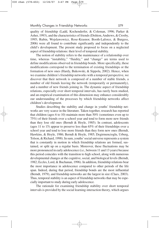quality of friendship (Ladd, Kochenderfer, & Coleman, 1996; Parker & Asher, 1993), and the characteristics of friends (Dishion, Andrews, & Crosby, 1995; Rubin, Wojslawowicz, Rose-Krasnor, Booth-Laforce, & Burgess, 2006) were all found to contribute significantly and independently to the child's development. The present study proposed to focus on a neglected aspect of friendship relations: their level of temporal stability.

The notion of stability refers to the maintenance of a relationship over time, whereas "instability," "fluidity," and "change" are terms used to define modifications observed in friendship bonds. More specifically, these modifications correspond to the termination of existing friendships or the formation of new ones (Hardy, Bukowski, & Sippola, 2002). Hence, when we examine children's friendship networks with a temporal perspective, we discover that their network is composed of a number of stable friends, a number of old friends leaving the network (temporarily or permanently), and a number of new friends joining in. The dynamic aspect of friendship relations, especially over short temporal intervals, has rarely been studied, and an empirical examination of this dimension may enhance considerably our understanding of the processes by which friendship networks affect children's development.

Studies describing the stability and change in youths' friendship networks are very scarce in the literature. Taken together, research has reported that children (ages 6 to 10) maintain more than 50% (sometimes even up to 75%) of their friends over a school year and tend to form more new friends than they lose old ones (Berndt & Hoyle, 1985). In contrast, adolescents (ages 11 to 15) appear to preserve less than 65% of their friendships over a school year and tend to lose more friends than they form new ones (Berndt, Hawkins, & Hoyle, 1986; Berndt & Hoyle, 1985; Degirmencioglu, Urberg, Tolson, & Richard, 1998). In sum, youths' social universe represents a system that is constantly in motion in which friendship relations are formed, sustained, or split up on a regular basis. Moreover, these fluctuations may be more pronounced in early adolescence (i.e., between 11 and 13 years) because this period coincides with the transition to high school, along with numerous developmental changes at the cognitive, social, and biological levels (Berndt, 1982; Eccles, Lord, & Buchanan, 1996). In addition, friendship relations bear the most importance in adolescence compared to other periods of the life span. Indeed, during that period, friendship bonds are the most influential (Berndt, 1979), and friendship networks are the largest in size (Claes, 2003). Thus, temporal stability is an aspect of friendship networks that may be especially important to study during early adolescence.

The rationale for examining friendship stability over short temporal intervals is provided by the social learning-interaction theory, which argues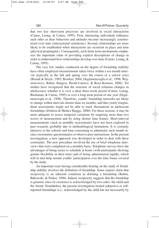that two key short-term processes are involved in social interactions (Cairns, Leung, & Cairns, 1995). First, interacting individuals influence each other as their behaviors and attitudes become increasingly synchronized over time (interactional synchrony). Second, relationships are more likely to be established when interactions are recurrent in place and time (physical propinquity). Consequently, such short-term mechanisms emphasize the important value of providing explicit descriptions of change in order to understand how relationships develop over time (Cairns, Leung, & Cairns, 1995).

The very few studies conducted on the degree of friendship stability have often employed measurements taken twice within a six-month interval (typically in the fall and spring over the course of a school year) (Berndt & Hoyle, 1985; Bowker, 2004; Degirmencioglu et al., 1998, Woj slawowicz, Rubin, Burgess, Booth-Laforce, & Rose-Krasnor, 2006). Yet studies have recognized that the structure of social relations changes in adolescence whether it is over a short three-week period (Cairns, Leung, Buchanan, & Cairns, 1995) or over a long-term period of one year (Degirmencioglu et al., 1998). Therefore, youths' friendship networks are likely to change within intervals shorter than six months, and thus yearly longitudinal assessments might not be able to track fluctuations in adolescent friendships (Dishion & Medici Skaggs, 2000). For these reasons, it may be more adequate to assess temporal variations by requiring more than two waves of measurement and by using shorter time frames. Short-interval measurements (such as monthly assessments) have not been explored in past research, probably due to methodological limitations. It is certainly intrusive to the schools and time-consuming to administer each month inclass sociometric questionnaires or observe peer interactions. In the present investigation, a new approach was developed in order to deal with these constraints. The new procedure involved the use of brief telephone interviews that were completed on a monthly basis. Telephone surveys have the advantages of being easier to schedule at home (with participants showing greater flexibility in their time) and of being administered rapidly, which will in turn help sustain youths' participation over the time frame covered by the study.

An important issue having considerable bearing on the study of friendship stability involves the definition of friendship. Some experts claim that reciprocity is an inherent condition in defining a friendship (Rubin, Bukowski, & Parker, 1998). Indeed, reciprocity suggests that the friendship is genuine since its existence is acknowledged by two sides: the child and the friend. Nonetheless, the present investigation treated subjective or selfreported friendships (i.e., acknowledged by the child but not necessarily by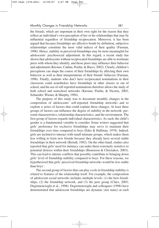the friend), which are important in their own right for the reason that they reflect an individual's own perception of her or his relationships that may be influential regardless of friendship reciprocation. Moreover, it has been argued that because friendships are affective bonds by definition, subjective relationships constitute the most valid indices of their quality (Furman, 1996). Hence, stability in perceived friendships may be more meaningful for adolescents' psychosocial adjustment. In this regard, a recent study has shown that adolescents without reciprocated friendships are able to nominate peers with whom they identify, and those peers may influence their behavior and adjustment (Kiesner, Cadinu, Poulin, & Bucci, 2002). Clearly, children's perceptions can shape the course of their friendships by affecting their own behavior as well as their interpretations of their friends' behavior (Furman, 1996). Finally, students who don't have reciprocated nominations in their classroom could nonetheless have friendships in other classes or out of school, and the use of self-reported nominations therefore allows the study of both school and nonschool networks (Kiesner, Poulin, & Nicotra, 2003; Schneider, Wiener, & Murphy, 1994).

The purpose of this study was to document monthly changes in the composition of adolescents' self-reported friendship networks and to explore a series of factors that could explain these changes. At least three groups of factors can influence the degree of stability in the network: personal characteristics, relationship characteristics, and the environment. The first group of factors regards individual characteristics. As such, the child's gender is a fundamental variable to consider. Some writers suggested that girls' preference for exclusive friendships may serve to maintain their friendships over time compared to boys (Eder & Hallinan, 1978). Indeed, girls are inclined to interact with small intimate groups, which makes them less willing to form new friends because they already have several stable friendships in their network (Berndt, 1982). On the other hand, studies also reported that girls' need for intimacy can make them extremely sensitive to potential distress within their friendships (Benenson & Christakos, 2003). This can lead to intense conflicts that possibly contribute to bringing down girls' level of friendship stability compared to boys. For these reasons, we hypothesized that girls' perceived friendship networks would be less stable than boys'.

The second group of factors that can play a role in friendship stability is related to features of the relationship itself. For example, the composition of adolescent social networks includes multiple levels: (1) the best friendships, (2) the friendship network, and (3) the peer group (Claes, 2003; Degirmencioglu et al., 1998). Degirmencioglu and colleagues (1998) have demonstrated that adolescent friendships are dynamic (not static) at each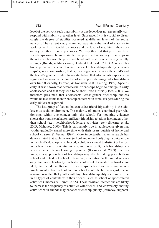level of the network such that stability at one level does not necessarily correspond with stability at another level. Subsequently, it is crucial to disentangle the degree of stability observed at different levels of the social network. The current study examined separately the level of stability in adolescents' best friendship choices and the level of stability in their secondary or other friendship choices. We hypothesized that perceived best friendships would be more stable than perceived secondary friendships in the network because the perceived bond with best friendships is generally stronger (Brendgen, Markiewicz, Doyle, & Bukowski, 2001). Another relationship feature that can influence the level of friendship stability is friendships' gender composition, that is, the congruence between the child's and the friend's gender. Studies have established that adolescents experience a significant increase in the number of self-reported cross-gender friendships over time (Connolly, Furman, & Konarski, 2000; Feiring, 1999). Specifically, it was shown that heterosexual friendships begin to emerge in early adolescence and that they tend to be short-lived at first (Claes, 2003). We therefore presumed that adolescents' cross-gender friendship choices would be less stable than friendship choices with same-sex peers during the early adolescence period.

The last group of factors that can affect friendship stability is the adolescent's social environment. The majority of studies examined peer relationships within one context only: the school. Yet mounting evidence shows that youths can have significant friendship relations in contexts other than school (e.g., neighborhood, leisure activities, etc.) (Kiesner et al., 2003; Mahoney, 2000). This is particularly true in adolescence given that youths gradually spend more time with their peers outside of home and school (Larson & Verma, 1999). More importantly, recent research has demonstrated that each context (school and nonschool) plays a unique role in the child's development. Indeed, a child is exposed to distinct behaviors in each of these experiential niches, and, as a result, each friendship network offers a differing learning experience (Kiesner et al., 2003). Interestingly, a large proportion of friendships may also be taking place both in school and outside of school. Therefore, in addition to the initial schoolonly and nonschool-only contexts, adolescent friendship networks are likely to include multicontext friendships defined as the simultaneous involvement in both school and nonschool contexts. In this regard, recent research revealed that youths with high friendship quality spent more time in all types of contexts with their friends, such as school or sport-related activities (Thomas & Berndt, 2005). These positive interactions are likely to increase the frequency of activities with friends, and, conversely, sharing activities with friends may enhance friendship quality (intimacy, support),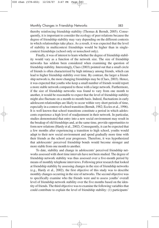thereby reinforcing friendship stability (Thomas & Berndt, 2005). Consequently, it is important to consider the ecology of peer relations because the degree of friendship stability may vary depending on the different contexts in which relationships take place. As a result, it was expected that the level of stability in multicontext friendships would be higher than in singlecontext friendships (school only or nonschool only).

Finally, it was of interest to learn whether the degree of friendship stability would vary as a function of the network size. The size of friendship networks has seldom been considered when examining the question of friendship stability. Interestingly, Claes (2003) pointed out that a small circle of friends is often characterized by high intimacy among friends, which can lead to higher friendship stability over time. By contrast, the larger a friendship network is, the more changing friendships may be (Claes, 2003). Hence, it was expected that youths who keep a small number of friends would report a more stable network compared to those with a large network. Furthermore, if the size of friendship networks was found to vary from one month to another, it would be reasonable to expect that the level of friendship stability might also fluctuate on a month-to-month basis. Indeed, fluctuations in early adolescent relationships are likely to occur within very short periods of time, especially in a context of school transition (Berndt, 1982; Eccles et al., 1996). It is well known that school transitions constitute a period in which adolescents experience a high level of readjustment in their network. In particular, studies demonstrated that entry into a new social environment may result in the breakup of old friendships and, at the same time, provide opportunities to form new relations (Hardy et al., 2002). Consequently, it can be expected that a few months after experiencing a transition to high school, youths would adapt to their new social environment and spend gradually more time with their friends as the school year progresses. Therefore, it was hypothesized that adolescents' perceived friendship bonds would become stronger and more stable from one month to another.

To date, stability and change in adolescents' perceived friendship networks assessed with short time intervals have not been studied. The degree of friendship network stability was thus assessed over a five-month period by means of monthly telephone interviews. Following prior research that looked at friendship stability by assessing changes in the size of friendship networks (e.g., Hardy et al., 2002), the first objective of this study was to describe monthly changes occurring in the size of networks. The second objective was to specifically examine who the friends were and to assess youths' overall level of friendship network stability over the five months based on the identity of friends. The third objective was to examine the following variables that could contribute to explain the level of friendship stability: (1) participants'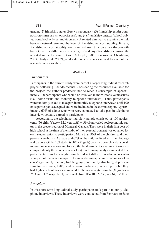gender, (2) friendship status (best vs. secondary), (3) friendship gender composition (same sex vs. opposite sex), and (4) friendship contexts (school only vs. nonschool only vs. multicontext). A related aim was to examine the link between network size and the level of friendship network stability. Finally, friendship network stability was examined over time on a month-to-month basis. Given the differences between girls' and boys' friendships consistently reported in the literature (Berndt & Hoyle, 1985; Benenson & Christakos, 2003; Hardy et al., 2002), gender differences were examined for each of the research questions above.

# **Method**

#### *Participants*

Participants in the current study were part of a larger longitudinal research project following 390 adolescents. Considering the resources available for the project, the authors predetermined to reach a subsample of approximately 100 participants who would be involved in more intensive measures (i.e., home visits and monthly telephone interviews). Thus, participants were randomly asked to take part in monthly telephone interviews until 100 or so participants accepted and were included in the current report. Approximately 60% of adolescents who were contacted to take part in telephone interviews actually agreed to participate.

Accordingly, the telephone interview sample consisted of 109 adolescents (56 girls: *M* age = 12.6 years, *SD* = .39) from varied socioeconomic status in the greater region of Montreal, Canada. They were in their first year of high school at the time of the study. Written parental consent was obtained for each student prior to participation. More than 90% of the children and their parents were born in Canada, and 67% of the children lived with their biological parents. Of the 109 students, 102 (51 girls) provided complete data on all measurement occasions and formed the final sample for analyses (7 students completed only three interviews or less). Preliminary analyses indicated that participants from the analytic sample did not differ from adolescents who were part of the larger sample in terms of demographic information (adolescents' age, family income, first language, and family structure), depressive symptoms (Kovacs, 1985), and behavior problems (teacher report), but they had higher school grades compared to the nonanalytic sample (*M* grades = 75.3 and 71.9, respectively, on a scale from 0 to 100, *t* (338) = 2.64, *p* < .01).

## *Procedure*

In this short-term longitudinal study, participants took part in monthly telephone interviews. These interviews were conducted from February to June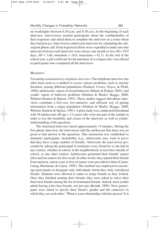on weeknights between 6:30 p.m. and 8:30 p.m. At the beginning of each interview, interviewers assured participants about the confidentiality of their responses and asked them to complete the interview in a room where they had privacy. Interviewers ended each interview by scheduling the subsequent phone call. Great logistical efforts were expended to make sure that intervals between each interview were always one month or less (*M* = 28.9 days,  $SD = 3.66$ ; minimum = 18.0, maximum = 42.3). At the end of the school year, a gift certificate for the purchase of a compact disc was offered to participants who completed all the interviews.

#### *Measures*

*Friendship nomination by telephone interview.* The telephone interview has often been used as a method to assess various problems, such as anxiety disorders, among different populations (Paulsen, Crowe, Noyes, & Pfohl, 1988); adolescents' report of sexual behavior (Minnis & Padian, 2001); and youths' report of behavior problems (Dishion & Medici Skaggs, 2000; Webster-Stratton & Spitzer, 1991). These studies suggest that phone interviews constitute a low-cost, low-intrusive, and efficient way of getting information from a target population (Dishion & Medici Skaggs, 2000; Webster-Stratton & Spitzer, 1991). A pilot study was conducted beforehand with 30 adolescents ( $M$  age = 12 years) who were not part of the sample in order to test the feasibility and course of the interview as well as youths' understanding of the questions.

The structured interview lasted approximately 15 minutes. During the first phone interview, the interviewer told the adolescent that there was no good or bad answer to the questions. This instruction was established to minimize participants' desirability (e.g., adolescents may want to prove that they have a large number of friends). Afterward, the interviewer proceeded by asking the participant to nominate every friend he or she had in any context, whether at school, in the neighborhood, in activities outside of school, or any other context. Adolescents generated their friends' names (first and last names) by free recall. In other words, they named their friends from memory, and no cues or lists of names were provided to them (Cairns, Leung, Buchanan, & Cairns, 1995). This method was employed to encourage participants to designate only individuals whom they truly considered friends. Students were allowed to name as many friends as they wished. Once they finished naming their friends, they were asked to select their three best friends among the list of nominated friends. Indeed, most youths admit having a few best friends, not just one (Berndt, 1999). Next, participants were asked to specify their friend's gender and the context(s) in which they see each other: "What is your relationship with this person? Is it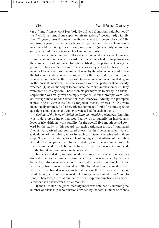(a) a friend from school? [yes/no]; (b) a friend from your neighborhood? [yes/no]; (c) a friend from a sport or leisure activity? [yes/no]; (d) a family friend? [yes/no]; (e) If none of the above, who is this person for you?" By requiring a yes/no answer to each context, participants were able to nominate friendships taking place in only one context (school only, nonschool only) or in multiple contexts (school and nonschool).

The same procedure was followed in subsequent interviews. However, from the second interview onward, the interviewer had in his possession the complete list of nominated friends identified by the participant during the previous interview. As a result, the interviewer just had to check off the names of friends who were nominated again by the adolescent and added on the list new friends who were nominated for the very first time. For friends who were nominated in the previous interview but were not nominated again in the present interview, the interviewer asked the participant to specify whether:  $(1)$  he or she forgot to nominate the friend in question or  $(2)$  they were not friends anymore. These prompts permitted us to clarify if a friendship relation was really over or simply forgotten. As such, prompts were used on average three or four times for each interview. Among the prompted names, 68.8% were classified as forgotten friends, whereas 31.2% were intentionally omitted. As for new friends nominated for the first time, specific questions about gender and contexts were asked for each of them.

*Coding of the level of global stability in friendship networks.* Our aim was to develop an index that would allow us to quantify an individual's level of friendship network stability for the overall five-month period covered by the study. In this regard, for each participant a list of nominated friends was derived and compared at each of the five assessment waves. Calculation of the stability index for each participant was achieved in three steps. Table 1 illustrates an example of coding and calculation of the stability index for one participant. In the first step, a score was assigned to each friend nominated from February to June: 0 = the friend was not nominated,  $1 =$  the friend was nominated in the network.

In the second step, we computed the number of friendship renominations, defined as the number of times each friend was renamed by the participant in subsequent waves. For instance, if a friend was nominated at one wave only, his or his score would be 0 (the friend was not renamed in other waves); if the friend was nominated at each of the five waves, his score would be 4 (the friend was named in February and renamed from March to June). Therefore, the total number of friendship renominations was calculated for each friend over the five months.

In the third step, the global stability index was obtained by summing the number of friendship renominations divided by the total number of friends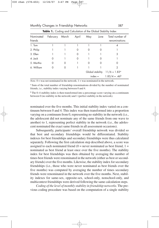Monthly Changes in Friendship Networks 587

| <b>Table 1.</b> Coding and Calculation of the Global Stability Index |          |          |       |                               |          |                       |  |
|----------------------------------------------------------------------|----------|----------|-------|-------------------------------|----------|-----------------------|--|
| Nominated                                                            | February | March    | April | May                           | June     | Total number of       |  |
| friends                                                              |          |          |       |                               |          | renominations         |  |
| 1. Tom                                                               |          |          |       |                               |          | 4                     |  |
| 2. Philip                                                            |          |          | O     | Ω                             | $\Omega$ |                       |  |
| 3. Ellen                                                             |          |          | Ω     |                               |          | 3                     |  |
| 4. Jack                                                              | O        |          | 0     |                               | O        |                       |  |
| 5. Martha                                                            | Ω        | ∩        |       | ∩                             | ∩        |                       |  |
| 6. William                                                           | O        | $\Omega$ |       |                               |          | 2                     |  |
|                                                                      |          |          |       | Global stability<br>$index =$ |          | $11/6 = 1.83^{\circ}$ |  |
|                                                                      |          |          |       |                               |          | $1.83/4 = .46b$       |  |

| Table 1. Coding and Calculation of the Global Stability Inde |
|--------------------------------------------------------------|
|--------------------------------------------------------------|

*Note.*  $0 =$  was not nominated in the network;  $1 =$  was nominated in the network.

<sup>a</sup> Sum of the total number of friendship renominations divided by the number of nominated friends, i.e., stability index varying between 0 and 4.

<sup>b</sup> The 0–4 stability index is then transformed into a percentage score varying on a continuum between 0 (no stability in the network) and 1 (perfect stability in the network).

nominated over the five months. This initial stability index varied on a continuum between 0 and 4. This index was then transformed into a proportion varying on a continuum from 0, representing no stability in the network (i.e., the adolescent did not nominate any of the same friends from one wave to another) to 1, representing perfect stability in the network (i.e., the adolescent nominated the exact same friends in all assessment occasions).

Subsequently, participants' overall friendship network was divided so that best and secondary friendships would be differentiated. Stability indexes for best friendships and secondary friendships were thus calculated separately. Following the first calculation step described above, a score was assigned to each nominated friend  $(0 =$  never nominated as best friend,  $1 =$ nominated as best friend at least once over the five months). The stability index for best friendships was then obtained by averaging the number of times best friends were renominated in the network (either as best or secondary friends) over the five months. Likewise, the stability index for secondary friendships (i.e., those who were never nominated as best friends over the five months) was computed by averaging the number of times secondary friends were renominated in the network over the five months. Next, stability indexes for same-sex, opposite-sex, school-only, nonschool-only, and multicontext friendships were derived following the same calculation steps.

*Coding of the level of monthly stability in friendship networks.* The previous coding procedure was based on the computation of a single stability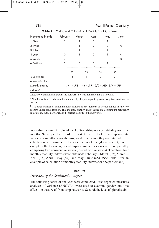| Table 2.<br>Coding and Calculation of Monthly Stability Indexes |                |       |                |                                                 |      |  |  |
|-----------------------------------------------------------------|----------------|-------|----------------|-------------------------------------------------|------|--|--|
| Nominated friends                                               | February       | March | April          | May                                             | June |  |  |
| $1.$ Tom                                                        |                |       |                |                                                 |      |  |  |
| 2. Philip                                                       |                |       | Ω              |                                                 |      |  |  |
| 3. Ellen                                                        |                |       | O              |                                                 |      |  |  |
| 4. Jack                                                         | Ω              |       | $\Omega$       |                                                 |      |  |  |
| 5. Martha                                                       | Ω              |       |                |                                                 |      |  |  |
| 6. William                                                      | Ω              |       |                |                                                 |      |  |  |
|                                                                 |                |       |                |                                                 |      |  |  |
|                                                                 | S <sub>2</sub> |       | S <sub>3</sub> | S4                                              | S5   |  |  |
| Total number                                                    | 3              |       |                | $\mathcal{P}$                                   | 3    |  |  |
| of renominations <sup>a</sup>                                   |                |       |                |                                                 |      |  |  |
| Monthly stability                                               |                |       |                | $3/4 = .75$ $1/6 = .17$ $2/5 = .40$ $3/4 = .75$ |      |  |  |
| indexes <sup>b</sup>                                            |                |       |                |                                                 |      |  |  |
|                                                                 |                |       |                |                                                 |      |  |  |

**Table 2.** Coding and Calculation of Monthly Stability Indexes

*Note.*  $0 =$  was not nominated in the network;  $1 =$  was nominated in the network.

<sup>a</sup> Number of times each friend is renamed by the participant by comparing two consecutive waves.

<sup>b</sup> The total number of renominations divided by the number of friends named in the two months under consideration. This monthly stability index varies on a continuum between 0 (no stability in the network) and 1 (perfect stability in the network).

index that captured the global level of friendship network stability over five months. Subsequently, in order to test if the level of friendship stability varies on a month-to-month basis, we derived a monthly stability index. Its calculation was similar to the calculation of the global stability index except for the following: friendship renomination scores were computed by comparing two consecutive waves (instead of five waves). Therefore, four monthly stability indexes were obtained: February—March (S2), March— April (S3), April—May (S4), and May—June (S5). (See Table 2 for an example of calculation of monthly stability indexes for one participant.)

## **Results**

# *Overview of the Statistical Analyses*

The following series of analyses were conducted. First, repeated measures analyses of variance (ANOVAs) were used to examine gender and time effects on the size of friendship networks. Second, the level of global stabil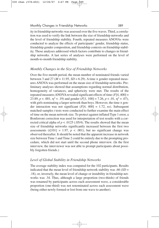ity in friendship networks was assessed over the five waves. Third, a correlation was used to verify the link between the size of friendship networks and the level of friendship stability. Fourth, repeated measures ANOVAs were conducted to analyze the effects of participants' gender, friendship status, friendship gender composition, and friendship contexts on friendship stability. Those analyses addressed which factors contribute to changes in friendship networks. A last series of analyses were performed on the level of month-to-month friendship stability.

## *Monthly Changes in the Size of Friendship Networks*

Over the five-month period, the mean number of nominated friends varied between 3 and 27 ( $M = 11.95$ ,  $SD = 6.29$ ). A time  $\times$  gender repeated measures ANOVA was performed on the mean size of friendship networks. Preliminary analyses showed that assumptions regarding normal distribution, homogeneity of variances, and sphericity were met. The results of the repeated measures ANOVA revealed significant effects of time (*F*[4, 400] = 23.89,  $p < .001$ ,  $\eta^2 = .19$ ) and gender (*F*[1, 100] = 7.26,  $p < .01$ ,  $\eta^2 = .07$ ), with girls nominating a larger network than boys. However, the time  $\times$  gender interaction was not significant (*F*[4, 400] = 1.72, *ns*). Subsequent matched-samples *t* tests were conducted to further examine the main effect of time on the mean network size. To protect against inflated Type 1 error, a Bonferroni correction was used for interpretation of test results with a corrected critical alpha of  $p < .0125$  (.05/4). The results showed that the mean size of friendship networks significantly increased between the first two assessments  $(t[101] = 1.97, p < .001)$ , but no significant change was observed thereafter. It should be noted that the apparent increase in network size between Time 1 and Time 2 could be entirely due to the prompting procedure, which did not start until the second phone interview. (In the first interview, the interviewer was not able to prompt participants about possibly forgotten friends.)

## *Level of Global Stability in Friendship Networks*

The average stability index was computed for the 102 participants. Results indicated that the mean level of friendship network stability was .66  $(SD =$ .18), or, inversely, the mean level of change or instability in friendship networks was .34. Thus, although a large proportion (two-thirds) of friends was renamed by participants across each assessment wave, a considerable proportion (one-third) was not renominated across each assessment wave (being either newly formed or lost from one wave to another).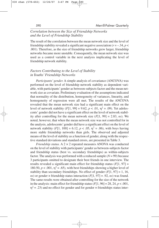## *Correlation between the Size of Friendship Networks and the Level of Friendship Stability*

The result of the correlation between the mean network size and the level of friendship stability revealed a significant negative association  $(r = -0.34, p <$ .001). Therefore, as the size of friendship networks grew larger, friendship networks became more unstable. Consequently, the mean network size was used as a control variable in the next analysis implicating the level of friendship network stability.

# *Factors Contributing to the Level of Stability in Youths' Friendship Networks*

*Participants' gender.* A simple analysis of covariance (ANCOVA) was performed on the level of friendship network stability as dependent variable, with participants' gender as between-subjects factor and the mean network size as covariate. Preliminary evaluation of the assumptions indicated that normality of the distribution, homogeneity of variances, linearity, and homogeneity of regression were all met. The results of the ANCOVA revealed that the mean network size had a significant main effect on the level of network stability  $(F[1, 99] = 9.62, p < .01, \eta^2 = .09)$ . Yet adolescents' gender did not have a significant effect on the level of network stability after controlling for the mean network size  $(F[1, 99] = 2.83, ns)$ . We noted, however, that when the mean network size was not controlled for in the analysis, adolescents' gender did have a significant effect on the level of network stability  $(F[1, 100] = 6.12, p < .05, \eta^2 = .06)$ , with boys having more stable friendship networks than girls. The observed and adjusted means of the level of stability as a function of gender, along with the respective standard deviations and standard errors, are presented in Table 3.

*Friendship status.* A 2 × 2 repeated measures ANOVA was conducted on the level of stability with participants' gender as between-subjects factor and friendship status (best vs. secondary friendships) as within-subjects factor. The analysis was performed with a reduced sample  $(N = 99)$  because 3 participants omitted to designate their best friends in one interview. The results revealed a significant main effect for friendship status  $(F[1, 97] =$ 180.50,  $p < .001$ ,  $\eta^2 = .65$ ), with best friendships showing a higher level of stability than secondary friendships. No effect of gender  $(F[1, 97] = 1, 16,$ *ns*) or gender  $\times$  friendship status interaction (*F*[1, 97] = .92, *ns*) was found. The same results were obtained after controlling for the size of the network in the analysis: main effect for friendship status  $(F[1, 96] = 28, 24, p < .001,$  $\eta^2$  = .23) and no effect for gender and for gender  $\times$  friendships status inter-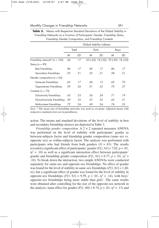|                                               | Global stability indexes |           |       |                                       |      |     |  |
|-----------------------------------------------|--------------------------|-----------|-------|---------------------------------------|------|-----|--|
|                                               | Total                    |           | Girls |                                       | Boys |     |  |
|                                               | M                        | <b>SD</b> | М     | SD                                    | M    | SD  |  |
| Friendship network <sup>a</sup> ( $n = 102$ ) | .66                      | .17       |       | .62 (.63) .18 (.02) .70 .69 .18 (.02) |      |     |  |
| Status $(n = 99)$                             |                          |           |       |                                       |      |     |  |
| Best friendships                              | .86                      | .17       | .85   | .17                                   | .86  | .17 |  |
| Secondary friendships                         | .55                      | .21       | .52   | .21                                   | .58  | .21 |  |
| Gender composition $(n = 63)$                 |                          |           |       |                                       |      |     |  |
| Same-sex friendships                          | .62                      | .17       | .60   | .15                                   | .65  | .70 |  |
| Opposite-sex friendships                      | .59                      | .26       | .51   | .23                                   | .70  | .27 |  |
| Contexts $(n = 75)$                           |                          |           |       |                                       |      |     |  |
| School-only friendships                       | .63                      | .23       | .56   | .24                                   | .71  | .19 |  |
| Nonschool-only friendships .59                |                          | .33       | .57   | .35                                   | .62  | .31 |  |
| Multicontext friendships                      | .72                      | .24       | .69   | .24                                   | .76  | .23 |  |

**Table 3.** Means with Respective Standard Deviations of the Global Stability in Friendship Networks as a Function of Participants' Gender, Friendship Status, Friendship Gender Composition, and Friendship Contexts

*Note:* <sup>a</sup> The mean size of friendship networks was used as covariate. Adjusted means with respective standard errors are in parentheses.

action. The means and standard deviations of the level of stability in best and secondary friendship choices are depicted in Table 3.

*Friendship gender composition.* A 2 × 2 repeated measures ANOVA was performed on the level of stability with participants' gender as between-subjects factor and friendship gender composition (same sex vs. opposite sex) as within-subjects factor. The analysis was performed with participants who had friends from both genders  $(N = 63)$ . The results revealed a significant effect of participants' gender  $(F[1, 61] = 7.02, p = .01,$  $\eta^2$  = .10) as well as a significant interaction effect between participants' gender and friendship gender composition  $(F[1, 61] = 6.77, p = .01, \eta^2 =$ .10). To break down the interaction, two simple ANOVAs were conducted separately for same-sex and opposite-sex friendships. No effect of gender was found for the level of stability in same-sex friendships  $(F[1, 61] = 1.40$ , *ns*), but a significant effect of gender was found for the level of stability in opposite-sex friendships  $(F[1, 61] = 9.59, p < .01, \eta^2 = .14)$ , with boys' opposite-sex friendships being more stable than girls'. The same results were obtained after controlling for the size of the opposite-sex network in the analysis: main effect for gender  $(F[1, 60] = 8.74, p < .01, \eta^2 = .13)$  and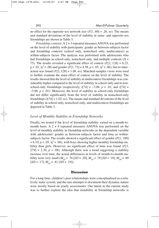no effect for the opposite-sex network size  $(F[1, 60] = .26, ns)$ . The means and standard deviations of the level of stability in same- and opposite-sex friendships are shown in Table 3.

*Friendship contexts.* A 2 × 3 repeated measures ANOVA was performed on the level of stability with participants' gender as between-subjects factor and friendship contexts (school only, nonschool only, multicontext) as within-subjects factor. The analysis was performed with adolescents who had friendships in school-only, nonschool-only, and multiple contexts (*N* = 75). The results revealed a significant effect of context  $(F[2, 128] = 6.23$ ,  $p < .01$ ,  $\eta^2 = .08$ ) and gender (*F*[1, 73] = 4.58,  $p < .05$ ,  $\eta^2 = .06$ ), but no interaction was found  $(F[2, 128] = 1.08, ns)$ . Matched-samples *t* tests were used to further examine the main effect of context on the level of stability. The results showed that the level of stability in multicontext friendships was considerably higher compared to the level of stability in school-only and in nonschool-only friendships (respectively,  $t[74] = -3.08$ ,  $p < .01$ , and  $t[74] =$  $-3.06$ ,  $p < .01$ ). Moreover, the level of stability in school-only friendships did not differ significantly from the level of stability in nonschool-only friendships (*t*[74] = 1.02, *ns*). The means and standard deviations of the level of stability in school-only, nonschool-only, and multicontext friendships are depicted in Table 3.

# *Level of Monthly Stability in Friendship Networks*

Finally, we tested if the level of friendship stability varied on a month-tomonth basis. A  $2 \times 4$  repeated measures ANOVA was performed on the level of monthly stability in friendship networks as the dependent variable with adolescents' gender as between-subjects factor and time as withinsubjects factor. The results showed a significant effect of gender (*F*[1, 100]  $= 6.19, p < .05, \eta^2 = .06$ , with boys showing higher monthly friendship stability than girls. However, no significant effect of time was found (*F*[3,  $279$ ] = 2.30,  $p = .08$ ). Although there was a trend suggesting a stability increase over time, the actual differences in levels of month-to-month stability were very small  $(M_{S2} = .76$  [*SD* = .20],  $M_{S3} = .78$  [*SD* = .18],  $M_{S4} = .80$  $[SD = .17], M_{ss} = .81 [SD = .19].$ 

## **Discussion**

For a long time, children's peer relationships were conceptualized as a relatively static system, and the rare attempts to document their dynamic nature were mostly based on yearly assessments. Our intent in the current study was to further explore the idea that instability in friendship networks is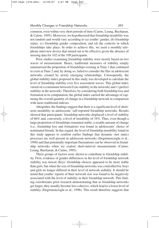common, even within very short periods of time (Cairns, Leung, Buchanan, & Cairns, 1995). Moreover, we hypothesized that friendship instability was not random and would vary according to (a) youths' gender, (b) friendship status, (c) friendship gender composition, and (d) the contexts in which friendships take place. In order to achieve this, we used a monthly telephone interview device that turned out to be effective given the absence of missing data for 102 of the 109 participants.

Prior studies examining friendship stability were mostly based on two waves of measurement. Hence, traditional measures of stability simply summarized the proportion of friendships existing at Time 1 that continued to exist at Time 2 and, by doing so, failed to consider the flux in adolescent networks created by newly emerging relationships. Consequently, the global stability index proposed in this study was developed to calculate the level of friendship stability over five assessment waves. This global index varied on a continuum between 0 (no stability in the network) and 1 (perfect stability in the network). Therefore, by considering both friendship loss and formation in its computation, the global index carried the advantage of capturing the overall quantity of change in a friendship network in comparison with more traditional indexes.

Altogether, the findings suggest that there is a significant level of shortterm instability in adolescents' self-reported friendship networks. Results showed that participants' friendship networks displayed a level of stability of 66% and, conversely, a level of instability of 34%. Thus, even though a large proportion of friendships remained stable, a sizable amount of change (i.e., friendship loss and formation) was found in adolescents' choice of nominated friends. In this regard, the level of friendship instability found in this study appears to confirm earlier findings that dynamic (not static) processes are well present in adolescent networks (Degirmencioglu et al., 1998) and that potentially important fluctuations can be observed in friendship networks when we exploit short-interval measurements (Cairns, Leung, Buchanan, & Cairns, 1995).

Three groups of factors were shown to contribute to friendship stability. First, evidence of gender differences in the level of friendship network stability was mixed. Boys' friendship choices appeared to be more stable than girls, but when the size of friendship networks was controlled for, boys and girls no longer differed in their level of network stability. It should be noted that youths' reports of their network size was found to be negatively associated with the level of stability in their friendship network. This finding corroborates prior research demonstrating that as friendship networks get larger, they usually become less cohesive, which lead to a lower level of stability (Degirmencioglu et al., 1998). This result therefore suggests that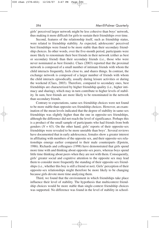girls' perceived larger network might be less cohesive than boys' network, thus making it more difficult for girls to sustain their friendships over time.

Second, features of the relationship itself, such as friendship status, were related to friendship stability. As expected, adolescents' perceived best friendships were found to be more stable than their secondary friendship choices. In other words, over the five-month period, participants were more likely to renominate their best friends in their network (either as best or secondary friend) than their secondary friends (i.e., those who were never nominated as best friends). Claes (2003) reported that the proximal network is composed of a small number of intimate friends with whom the child interacts frequently, feels close to, and shares things. In contrast, the exchange network is composed of a larger number of friends with whom the child interacts episodically, usually during leisure activities or during the weekend (Claes, 2003). Therefore, compared to secondary ones, best friendships are characterized by higher friendship quality (i.e., higher intimacy and sharing), which may in turn contribute to higher levels of stability. In sum, best friends are more likely to be renominated in the network than secondary friends.

Contrary to expectations, same-sex friendship choices were not found to be more stable than opposite-sex friendship choices. However, an examination of the mean levels indicated that the degree of stability in same-sex friendships was slightly higher than the one in opposite-sex friendships, although the difference did not reach the level of significance. Perhaps this is a product of the small sample of participants who had friends from both genders  $(N = 63)$ . On the other hand, girls' reports of their opposite-sex friendships were revealed to be more unstable than boys'. Several reviews have documented that in early adolescence, females show a greater interest in affiliating with members of the opposite sex, and their opposite-sex relationships emerge earlier compared to their male counterparts (Epstein, 1986). Richards and colleagues (1998) have demonstrated that girls spend more time with and thinking about opposite-sex peers, whereas boys spend little time thinking about peers when they are not with them. Consequently, girls' greater social and cognitive attention to the opposite sex may lead them to consider more frequently the standing of their opposite-sex friendships (i.e., whether this boy is still a friend or not). Girls' perception of their opposite-sex relationships might therefore be more likely to be changing because girls devote more time analyzing them.

Third, we found that the environment in which friendships take place influence their level of stability. The hypothesis that multicontext friendship choices would be more stable than single-context friendship choices was supported. No difference was found in the level of stability in school-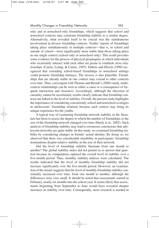only and in nonschool-only friendships, which suggests that school and nonschool contexts may constrain friendship stability to a similar degree. Alternatively, what revealed itself to be crucial was the simultaneous involvement in diverse friendship contexts. Youths' reports of friendships taking place simultaneously in multiple contexts—that is, in school and outside of school—were significantly more stable than those taking place in one single context (school only or nonschool only). This result provides some evidence for the process of physical propinquity in which individuals who recurrently interact with each other are prone to establish close relationships (Cairns, Leung, & Cairns, 1995). Dubois and Hirsch (1990) recognized that extending school-based friendships to nonschool settings could promote friendship intimacy. The inverse is also plausible: Friendships that are already stable in one context may extend to other contexts over time. Thus, convergent with Thomas and Berndt's (2005) study, multicontext relationships can be seen as either a cause or a consequence of frequent interaction and closeness. Accordingly, although the direction of causality cannot be ascertained, results clearly indicate that friendship contexts are linked to the level of stability. Overall, the present study highlights the importance of considering concurrently school and nonschool ecologies in adolescents' friendship relations because each context may bring its unique experience for the youths.

A typical way of examining friendship network stability in the literature has been to assess the degree to which the number of friendships or the size of the friendship network changed over time (Hardy et al., 2002). Such analysis of friendship stability may lead to erroneous conclusions that adolescent networks are quite stable. In this study, we examined friendship stability by considering changes in friends' actual identity. By doing so, we observed that there was considerable instability in participants' friendship nominations despite relative stability in the size of their network.

Did the level of friendship stability fluctuate from one month to another? The global stability index did not permit us to answer that question because its computation captured the overall level of stability over a five-month period. Thus, monthly stability indexes were calculated. The results indicated that the level of monthly friendship stability did not increase significantly over the five-month period. However, an examination of the means suggests that the level of monthly friendship stability consistently increased over time, from one month to another, although the differences were very small. It should be noted that assessments started in February, nearly six months into the school year. It seems likely that assessments beginning from September to June would have revealed sharper increases in stability over time. Consequently, more research is needed in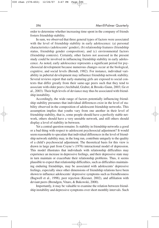order to determine whether increasing time spent in the company of friends fosters friendship stability.

In sum, we observed that three general types of factors were associated with the level of friendship stability in early adolescence: (a) personal characteristics (adolescents' gender), (b) relationship features (friendship status, friendship gender composition), and (c) environmental factors (friendship contexts). Certainly, other factors not assessed in the present study could be involved in influencing friendship stability in early adolescence. As noted, early adolescence represents a significant period for psychosocial development because numerous changes occur at the biological, cognitive, and social levels (Berndt, 1982). For instance, individual variability in pubertal development may influence friendship network stability. Several reviews report that early-maturing girls are exposed to social contexts that differ greatly from their same-age peers such that they tend to associate with older peers (Archibald, Graber, & Brooks-Gunn, 2003; Ge et al., 2003). Their high levels of deviance may thus be associated with friendship instability.

Accordingly, the wide range of factors potentially influencing friendship stability presumes that individual differences exist in the level of stability observed in the composition of adolescent friendship networks. This assumption implies that youths vary from one another in their level of friendship stability, that is, some people should have a perfectly stable network, others should have a very unstable network, and still others should display a level of stability in-between.

Yet a central question remains: Is stability in friendship networks a good or a bad thing with respect to adolescent psychosocial adjustment? It would seem reasonable to speculate that individual differences in the level of friendship network stability may, in the long run, contribute uniquely to the quality of a child's psychosocial adjustment. The theoretical basis for this view is drawn in large part from Coyne's (1976) interactional model of depression. This model illustrates that individuals with relationship difficulties may experience an increase in depressive feelings, and their depressive state may in turn maintain or exacerbate their relationship problems. Thus, it seems plausible to expect that relationship difficulties, such as difficulties maintaining enduring friendships, may be associated with adolescents' depressive feelings, especially since other dimensions of friendship relations have been shown to influence adolescents' depressive symptoms such as friendlessness (Bagwell et al., 1998), peer rejection (Kiesner, 2002), and affiliation with deviant peers (Brendgen, Vitaro, & Bukowski, 2000).

Importantly, it may be valuable to examine the relation between friendship instability and depressive symptoms over short monthly intervals. Such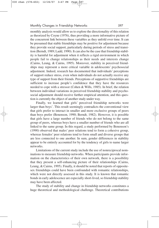monthly analysis would allow us to explore the directionality of this relation as theorized by Coyne (1976), thus providing a more informative picture of the concurrent link between these variables as they unfold over time. It can be presumed that stable friendships may be positive for adjustment because they provide social support, particularly during periods of stress and transition (Berndt, 1989; Ladd, 1990). It can also be the case that friendship stability is harmful for adjustment when it reflects a rigid environment in which people fail to change relationships as their needs and interests change (Cairns, Leung, & Cairns, 1995). Moreover, stability in perceived friendships may represent a more critical variable in adolescents' psychosocial adjustment. Indeed, research has documented that individuals' perceptions of support reduce stress, even when individuals do not actually receive any type of support from their friends. Perceptions of supportive friendships are sufficient to increase people's confidence that they have the resources needed to cope with a stressor (Cohen & Wills, 1985). In brief, the relation between individual variations in perceived friendship stability and psycho social adjustment should receive further empirical attention, and this question is currently the object of another study under way.

Finally, we learned that girls' perceived friendship networks were larger than boys'. This result seemingly contradicts the conventional view that girls prefer to interact in smaller and more exclusive groups of peers than boys prefer (Benenson, 1990; Berndt, 1982). However, it is possible that girls have a large number of friends who do not belong to the same group of peers, whereas boys have a smaller number of friends who are all linked to the same group. In this regard, a study performed by Benenson's (1990) observed that males' peer relations tend to form a cohesive group, whereas females' peer relations tend to form small and diverse groups that are less connected to one another. In sum, gender differences in stability appear to be entirely accounted for by the tendency of girls to name larger networks.

Limitations of the current study include the use of nonreciprocal nominations to measure friendship networks. When participants provide information on the characteristics of their own network, there is a possibility that they present a self-enhancing picture of their relationships (Cairns, Leung, & Cairns, 1995). Finally, it should be noted that reports of oppositesex friendships could have been confounded with romantic relationships, which were not directly assessed in this study. It is known that romantic bonds in early adolescence are especially short-lived, so friendship stability may have been affected.

The study of stability and change in friendship networks constitutes a huge theoretical and methodological challenge. Theoretical contributions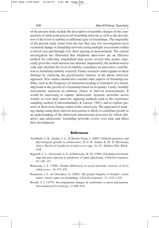of the present study include the description of monthly changes in the composition of adolescent perceived friendship network as well as the description of the level of stability in different types of friendships. The originality of the present study stems from the fact that very few investigations have examined change in friendship networks using multiple assessments within a school year and through very short spacing of measurement. The current investigation has illustrated that telephone interviews are an effective method for collecting longitudinal data across several time points, especially given the small attrition rate attained. Importantly, the method used to code and calculate the level of stability constitutes an innovative contribution to friendship stability research. Future research could expand on these findings by clarifying the psychometric features of the phone interview approach. New studies should also consider other aspects of friendship stability, such as the frequency of interaction leading to formation of a friendship bond or the growth of a friendship based on its quality. Lastly, monthly assessments represent an arbitrary choice of interval measurements. It would be interesting to capture adolescents' dynamic networks across weekly or even daily intervals, applying methods such as the experience sampling method (Csikszentmihalyi & Larson, 1987), and to explore patterns of short-term change earlier in the school year. The approach of studying change using short-interval assessments is likely to contribute greatly to an understanding of the short-term interactional processes by which children's and adolescents' friendship networks evolve over time and affect their development.

#### **References**

- Archibald, A. B., Graber, J. A., & Brooks-Gunn, J. (2003). Pubertal processes and physiological growth in adolescence. In G. R. Adams & M. D. Berzonsky (Eds.), *Blackwell handbook of adolescence* (pp. 24–47). Malden, MA: Blackwell.
- Bagwell, C. L., Newcomb, A. F., & Bukowski, W. M. (1998). Preadolescent friendship and peer rejection as predictors of adult adjustment. *Child Development, 69,* 140–153.
- Benenson, J. F. (1990). Gender differences in social networks. *Journal of Early Adolescence, 10,* 472–495.
- Benenson, J. F., & Christakos, A. (2003). The greater fragility of females' versus males' closest same-sex friendships. *Child Development, 74,* 1123–1129.
- Berndt, T. J. (1979). Developmental changes in conformity to peers and parents. *Developmental Psychology, 15,* 608–616.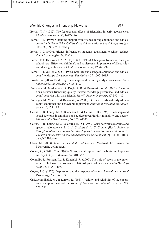- Berndt, T. J. (1982). The features and effects of friendship in early adolescence. *Child Development, 53,* 1447–1460.
- Berndt, T. J. (1989). Obtaining support from friends during childhood and adolescence. In D. Belle (Ed.), *Children's social networks and social supports* (pp. 308–331). New York: Wiley.
- Berndt, T. J. (1999). Friends' influence on students' adjustment to school. *Educational Psychologist, 34,* 15–28.
- Berndt, T. J., Hawkins, J. A., & Hoyle, S. G. (1986). Changes in friendship during a school year: Effects on children's and adolescents' impressions of friendships and sharing with friends. *Child Development, 57,* 1284–1297.
- Berndt, T. J., & Hoyle, S. G. (1985). Stability and change in childhood and adolescent friendships. *Developmental Psychology, 21,* 1007–1015.
- Bowker, A. (2004). Predicting friendship stability during early adolescence. *Journal of Early Adolescence, 24,* 85–112.
- Brendgen, M., Markiewicz, D., Doyle, A. B., & Bukowski, W. M. (2001). The relations between friendship quality, ranked-friendship preference, and adolescents' behavior with their friends. *Merrill-Palmer Quarterly, 47,* 395–415.
- Brendgen, M., Vitaro, F., & Bukowski, W. (2000). Deviant friends and early adolescents' emotional and behavioral adjustment. *Journal of Research on Adolescence, 10,* 173–189.
- Cairns, R. B., Leung, M-C., Buchanan, L., & Cairns, B. D. (1995). Friendships and social networks in childhood and adolescence: Fluidity, reliability, and interrelations. *Child Development, 66,* 1330–1345.
- Cairns, R. B., Leung, M-C., & Cairns, B. D. (1995). Social networks over time and space in adolescence. In L. J. Crockett & A. C. Crouter (Eds.), *Pathways through adolescence: Individual development in relation to social contexts: The Penn State series on child and adolescent development* (pp. 35–56). Hillsdale, NJ: Erlbaum.
- Claes, M. (2003). *L'univers social des adolescents.* Montréal: Les Presses de l'Université de Montréal.
- Cohen, S., & Wills, T. A. (1985). Stress, social support, and the buffering hypothesis. *Psychological Bulletin, 98,* 310–357.
- Connolly, J., Furman, W., & Konarski, R. (2000). The role of peers in the emergence of heterosexual romantic relationships in adolescence. *Child Development, 71,* 1395–1408.
- Coyne, J. C. (1976). Depression and the response of others. *Journal of Abnormal Psychology, 85,* 186–193.
- Csikszentmihalyi, M., & Larson, R. (1987). Validity and reliability of the experience sampling method. *Journal of Nervous and Mental Disease, 175,* 526–536.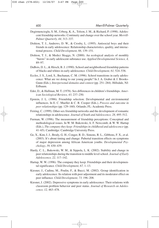- Degirmencioglu, S. M., Urberg, K. A., Tolson, J. M., & Richard, P. (1998). Adolescent friendship networks: Continuity and change over the school year. *Merrill-Palmer Quarterly, 44,* 313–337.
- Dishion, T. J., Andrews, D. W., & Crosby, L. (1995). Antisocial boys and their friends in early adolescence: Relationship characteristics, quality, and interactional process. *Child Development, 66,* 139–151.
- Dishion, T. J., & Medici Skaggs, N. (2000). An ecological analysis of monthly "bursts" in early adolescent substance use. *Applied Developmental Science, 4,* 89–97.
- DuBois, D. L., & Hirsch, B. J. (1990). School and neighborhood friendship patterns of blacks and whites in early adolescence. *Child Development, 61,* 524–536.
- Eccles, J. S., Lord, S., Buchanan, C. M. (1996). School transitions in early adolescence: What are we doing to our young people? In J. A. Graber & J. Brooks-Gunn (Eds.), *Interpersonal domains and context* (pp. 251–284). Hillsdale, NJ: Erlbaum.
- Eder, D., & Hallinan, M. T. (1978). Sex differences in children's friendships. *American Sociological Reviews, 43,* 237–250.
- Epstein, J. L. (1986). Friendship selection: Developmental and environmental influences. In E. C. Mueller & C. R. Cooper (Eds.), *Process and outcome in peer relationships* (pp. 129–160). Orlando, FL: Academic Press.
- Feiring, C. (1999). Other-sex friendship networks and the development of romantic relationships in adolescence. *Journal of Youth and Adolescence, 28,* 495–512.
- Furman, W. (1996). The measurement of friendship perceptions: Conceptual and methodological issues. In W. M. Bukowski, A. F. Newcomb, & W. W. Hartup (Eds.), *The company they keep: Friendships in childhood and adolescence* (pp. 41–65). Cambridge: Cambridge University Press.
- Ge, X., Kim, I. J., Brody, G. H., Conger, R. D., Simons, R. L., Gibbons, F. X., et al. (2003). It's about timing and change: Pubertal transition effects on symptoms of major depression among African American youths. *Developmental Psychology, 39,* 430–439.
- Hardy, C. L., Bukowski, W. M., & Sippola, L. K. (2002). Stability and change in peer relationships during the transition to middle level school. *Journal of Early Adolescence, 22,* 117–142.
- Hartup, W. W. (1996). The company they keep: Friendships and their developmental significance. *Child Development, 67,* 1–13.
- Kiesner, J., Cadinu, M., Poulin, F., & Bucci, M. (2002). Group identification in early adolescence: Its relation with peer adjustment and its moderator effect on peer influence. *Child Development, 73,* 196–208.
- Kiesner, J. (2002). Depressive symptoms in early adolescence: Their relations with classroom problem behavior and peer status. *Journal of Research on Adolescence, 12,* 463–478.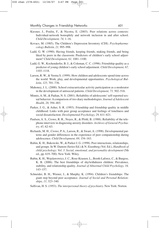- Kiesner, J., Poulin, F., & Nicotra, E. (2003). Peer relations across contexts: Individual-network homophily and network inclusion in and after school. *Child Development, 74,* 1–16.
- Kovacs, M. (1985). The Children's Depression Inventory (CDI). *Psychopharmacology Bulletin, 21,* 995–998.
- Ladd, G. W. (1990). Having friends, keeping friends, making friends, and being liked by peers in the classroom: Predictors of children's early school adjustment? *Child Development, 61,* 1081–1100.
- Ladd, G. W., Kochenderfer, B. J., & Coleman, C. C. (1996). Friendship quality as a predictor of young children's early school adjustment. *Child Development, 67,* 1103–1118.
- Larson, R. W., & Verma S. (1999). How children and adolescents spend time across the world: Work, play, and developmental opportunities. *Psychological Bulletin, 125,* 701–736.
- Mahoney, J. L. (2000). School extracurricular activity participation as a moderator in the development of antisocial patterns. *Child Development, 71,* 502–516.
- Minnis, A. M., & Padian, N. S. (2001). Reliability of adolescents' self-reported sexual behavior: A comparison of two diary methodologies. *Journal of Adolescent Health, 28,* 394–403.
- Parker, J. G., & Asher, S. R. (1993). Friendship and friendship quality in middle childhood: Links with peer group acceptance and feelings of loneliness and social dissatisfaction. *Developmental Psychology, 29,* 611–621.
- Paulsen, A. S., Crowe, R. R., Noyes, R., & Pfohl, B. (1988). Reliability of the telephone interview in diagnosing anxiety disorders. *Archives of General Psychiatry, 45,* 62–63.
- Richards, M. H., Crowe, P. A., Larson, R., & Swarr, A. (1998). Developmental patterns and gender differences in the experience of peer companionship during adolescence. *Child Development, 69,* 154–163.
- Rubin, K. H., Bukowski, W., & Parker J. G. (1998). Peer interactions, relationships, and groups. In W. Damon (Series Ed.) & N. Eisenberg (Vol. Ed.), *Handbook of child psychology: Vol. 3. Social, emotional, and personality development* (5th ed., pp. 619–700). New York: Wiley.
- Rubin, K. H., Wojslawowicz, J. C., Rose-Krasnor, L., Booth-Laforce, C., & Burgess, K. B. (2006). The best friendships of shy/withdrawn children: Prevalence, stability, and relationship quality. *Journal of Abnormal Child Psychology, 34,* 143–157.
- Schneider, B. H., Wiener, J., & Murphy, K. (1994). Children's friendships: The giant step beyond peer acceptance. *Journal of Social and Personal Relationships, 11,* 323–340.
- Sullivan, H. S. (1953). *The interpersonal theory of psychiatry.* New York: Norton.